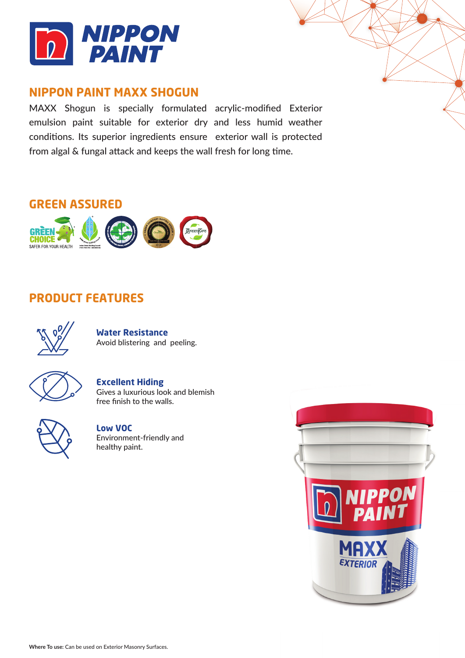

## **NIPPON PAINT MAXX SHOGUN**

MAXX Shogun is specially formulated acrylic-modified Exterior emulsion paint suitable for exterior dry and less humid weather conditions. Its superior ingredients ensure exterior wall is protected from algal & fungal attack and keeps the wall fresh for long time.

# **GREEN ASSURED**



## **PRODUCT FEATURES**



**Water Resistance** Avoid blistering and peeling.



## **Excellent Hiding**

Gives a luxurious look and blemish free finish to the walls.



**Low VOC** Environment-friendly and healthy paint.